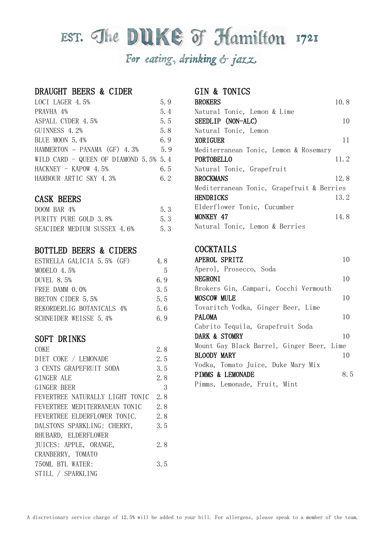# EST. The DUKE OF Hamilton 1721 For eating, drinking & jazz

#### DRAUGHT BEERS & CIDER

| LOCI LAGER 4.5%                          | 5.9 |
|------------------------------------------|-----|
| PRAVHA 4%                                | 5.4 |
| ASPALL CYDER 4.5%                        | 5.5 |
| GUINNESS 4.2%                            | 5.8 |
| BLUE MOON 5.4%                           | 6.9 |
| HAMMERTON - PANAMA (GF) 4.3%             | 5.9 |
| WILD CARD - QUEEN OF DIAMOND $5.5\%$ 5.4 |     |
| $HACKNEY - KAPOW 4.5%$                   | 6.5 |
| HARBOUR ARTIC SKY 4.3%                   | 6.2 |

## CASK BEERS

| DOOM BAR 4%                 | 5.3 |
|-----------------------------|-----|
| PURITY PURE GOLD 3.8%       | 5.3 |
| SEACIDER MEDIUM SUSSEX 4.6% | 5.3 |

# BOTTLED BEERS & CIDERS

| ESTRELLA GALICIA 5.5% (GF) | 4.8 |
|----------------------------|-----|
| MODELO 4.5%                | -5  |
| DUVEL 8.5%                 | 6.9 |
| FREE DAMM 0.0%             | 3.5 |
| BRETON CIDER 5.5%          | 5.5 |
| REKORDERLIG BOTANICALS 4%  | 5.6 |
| SCHNEIDER WEISSE 5.4%      | 69  |

#### SOFT DRINKS

| COKE                            | 2.8 |
|---------------------------------|-----|
| DIET COKE / LEMONADE            | 2.5 |
| 3 CENTS GRAPEFRUIT SODA         | 3.5 |
| GINGER ALE                      | 2.8 |
| GINGER BEER                     | 3   |
| FEVERTREE NATURALLY LIGHT TONIC | 2.8 |
| FEVERTREE MEDITERRANEAN TONIC   | 2.8 |
| FEVERTREE ELDERFLOWER TONIC.    | 2.8 |
| DALSTONS SPARKLING: CHERRY,     | 3.5 |
| RHUBARD, ELDERFLOWER            |     |
| JUICES: APPLE, ORANGE,          | 2.8 |
| CRANBERRY, TOMATO               |     |
| 750ML BTL WATER:                | 3.5 |
| STILL / SPARKLING               |     |
|                                 |     |

### GIN & TONICS

| <b>BROKERS</b>                            | 10.8 |
|-------------------------------------------|------|
| Natural Tonic, Lemon & Lime               |      |
| SEEDLIP (NON-ALC)                         | 10   |
| Natural Tonic, Lemon                      |      |
| <b>XORIGUER</b>                           | 11   |
| Mediterranean Tonic, Lemon & Rosemary     |      |
| PORTOBELLO                                | 11.2 |
| Natural Tonic, Grapefruit                 |      |
| <b>BROCKMANS</b>                          | 12.8 |
| Mediterranean Tonic, Grapefruit & Berries |      |
| HENDRICKS                                 | 13.2 |
| Elderflower Tonic, Cucumber               |      |
| <b>MONKEY 47</b>                          | 14.8 |
| Natural Tonic, Lemon & Berries            |      |

#### **COCKTAILS**

| APEROL SPRITZ                             | 10  |
|-------------------------------------------|-----|
| Aperol, Prosecco, Soda                    |     |
| <b>NEGRONI</b>                            | 10  |
| Brokers Gin, Campari, Cocchi Vermouth     |     |
| <b>MOSCOW MULE</b>                        | 10  |
| Tovaritch Vodka, Ginger Beer, Lime        |     |
| <b>PALOMA</b>                             | 10  |
| Cabrito Tequila, Grapefruit Soda          |     |
| DARK & STOMRY                             | 10  |
| Mount Gay Black Barrel, Ginger Beer, Lime |     |
| BLOODY MARY                               | 10  |
| Vodka, Tomato Juice, Duke Mary Mix        |     |
| <b>PIMMS &amp; LEMONADE</b>               | 8.5 |
| Pimms, Lemonade, Fruit, Mint              |     |